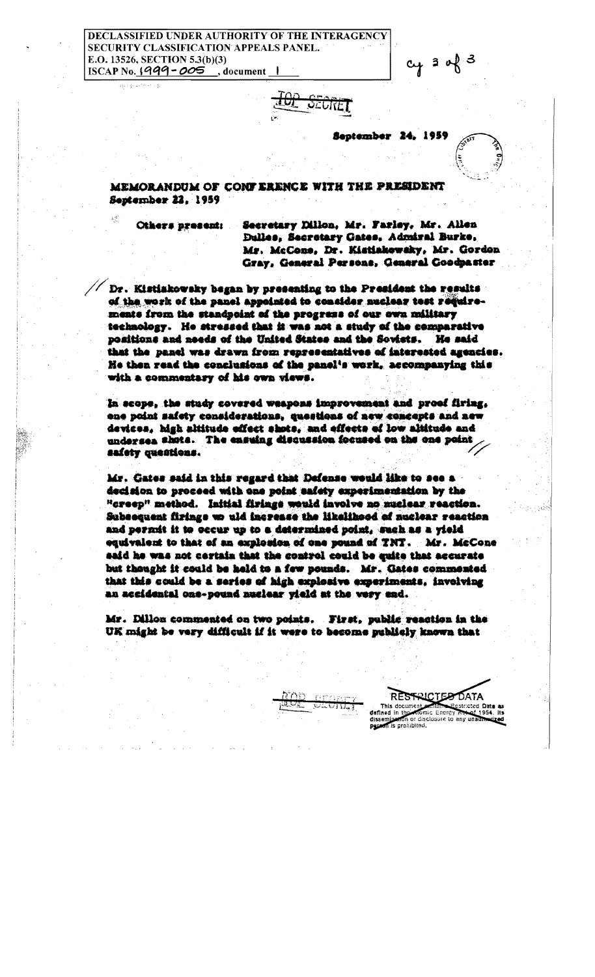## **CLASSIFIED UNDER AUTHORITY OF THE INTERAGENCY** SECURITY CLASSIFICATION APPEALS PANEL. E.O. 13526, SECTION 5.3(b)(3) ISCAP No. 1999-005 , document



Sentember 24, 1959

 $cy$  3 of 3

MEMORANDUM OF CONFERENCE WITH THE PRESIDENT September 22, 1959

Others present:

Secretary Dillon, Mr. Farley, Mr. Allen Dulles, Secretary Gates, Admiral Burke, Mr. McCone, Dr. Kistiakowsky, Mr. Gordon Gray, General Persons, General Coodpaster

Dr. Kistiakowsky began by presenting to the President the results of the work of the panel appointed to consider nuclear test requiremente from the standpoint of the progress of our own military technology. He stressed that it was not a study of the comparative positions and needs of the United States and the Soviets. He said that the panel was drawn from representatives of interested agencies. He then read the conclusions of the panel's work, accompanying this with a commentary of his own views.

In scope, the study covered weapons improvement and proof firing, one point safety considerations, questions of new concepts and new devices, high altitude effect shots, and effects of low altitude and undersea shots. The ensuing discussion focused on the one point safety questions.

Mr. Gates said in this regard that Defense would like to see a decision to proceed with one point safety experimentation by the <sup>u</sup>creep" method. Initial firinge would involve no nuclear reaction. Subsequent firings wo uld increase the likelihood of nuclear reaction and permit it to occur up to a determined point. Such as a vield equivalent to that of an explosion of one pound of TNT. Mr. McCone said he was not cortain that the control could be quite that accurate but thought it could be held to a few pounds. Mr. Gates commented that this could be a series of high explosive experiments, involving an accidental one-pound nuclear vield at the very end.

Mr. Dillon commented on two points. First, public reaction in the UK might be very difficult if it were to become publishy known that

> RESTRICTED DATA This document estricted Data a defined in the **Romic Energy** apn or disclosure to any unaut n is prohibited.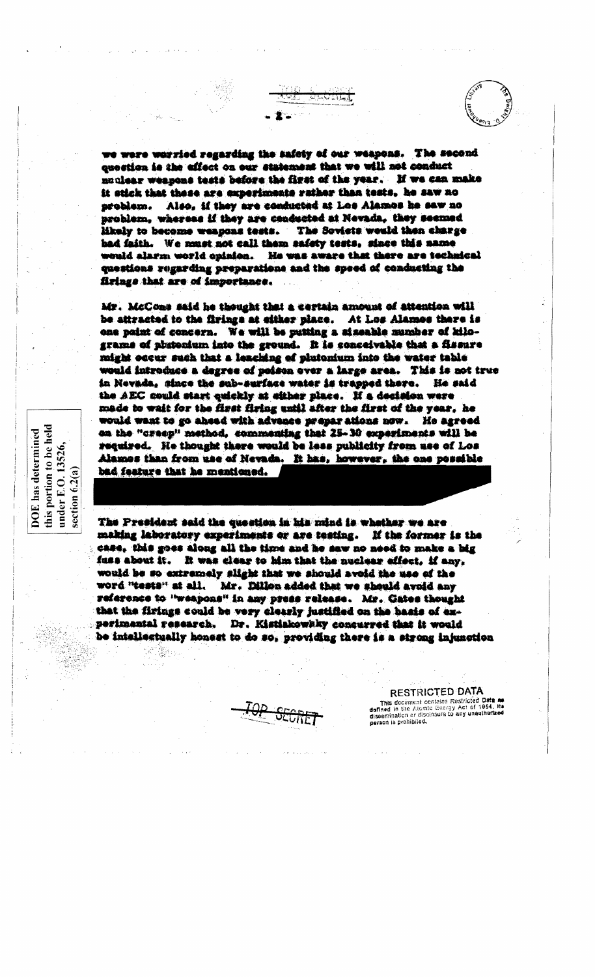we were worried regarding the safety of our weapons. The second question is the affect on our statement that we will not conduct nuclear weapons tests before the first of the year. If we can make it stick that these are experiments rather than tests, he saw no Also, if they are conducted at Los Alamos he saw no sreblem. problem, whereas if they are conducted at Nevada, they secured likely to become weapons tests. The Soviets would then charge bad faith. We must not call them safety tests, since this name would alarm world opinion. He was aware that there are technical questions regarding preparations and the speed of conducting the firings that are of importance.

 $\sqrt{2}$  in  $\sqrt{2}$  .  $\sqrt{2}$  and  $\sqrt{2}$ 

Mr. McCoas said he thought that a certain amount of attention will be attracted to the firings at either place. At Los Alames there is one paint of concern. We will be putting a sizeable number of kilograme of phatonium into the ground. It is conceivable that a fissure might occur such that a leaching of plutonium into the water table would introduce a degree of poison over a large area. This is not true in Nevada, since the sub-surface water is trapped there. He said the AEC could start quickly at either place. If a decision were mêde to wait for the first firing until after the first of the year, he would want to go ahead with advance preparations now. He agreed on the "creep" method, commenting that 25-30 experiments will be required. He thought there would be less publicity from use of Los Alamos than from use of Nevada. It has, however, the one possible bad feature that he mentioned.

this portion to be l<br>under E.O. 13526, section  $6.2(a)$ The President said the question in his mind is whether we are making laboratory experiments or are testing. If the former is the case, this goes along all the time and he saw no need to make a big fuss about it. It was clear to him that the nuclear effect, if any, word "tests" at all.

held

**DOE** has determined

would be so extremely slight that we should aveid the use of the Mr. Dillon added that we should avoid any reference to "weapons" in any press release. Mr. Gates thought that the firings could be very clearly justified on the basis of experimental research. Dr. Kistiakowsky concurred that it would be inteliestually honest to do so, providing there is a strong injunction

**RESTRICTED DATA** This document contains Restricted Data as time absorption commons resoluted whis as<br>defined in the Atomic Energy Act of 1954, Its<br>dissemination or disclosure to any unauthorized person is prohibited.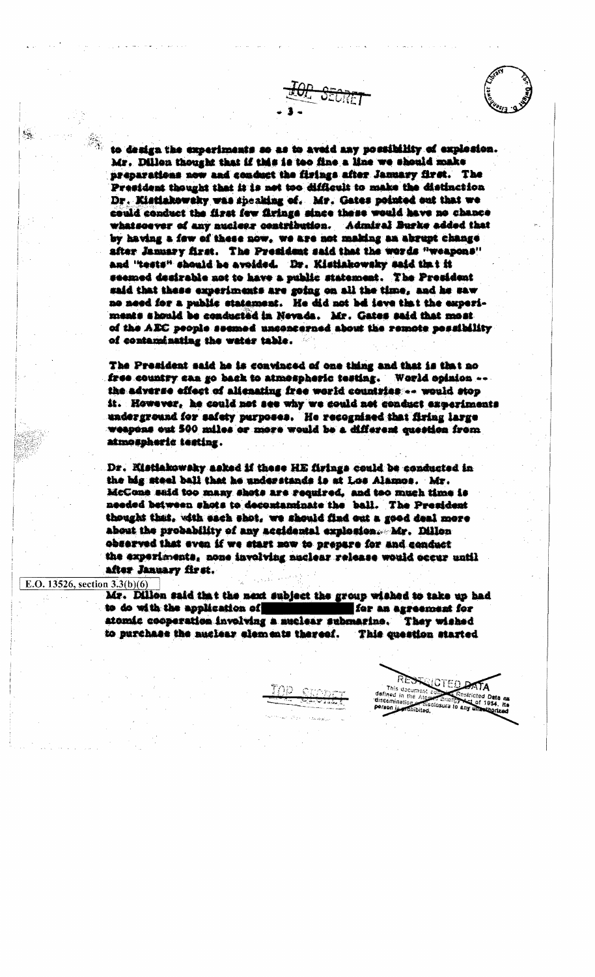



to design the experiments so as to aveid any possibility of explosion. Mr. Dillon thought that if this is too fine a line we should make preparations now and conduct the firings after January first. The President thought that is is not too difficult to make the distinction Dr. Kistiakowsky was speaking of. Mr. Gates pointed out that we could conduct the first few firings since these would have no chance whatsoever of any nuclear contribution. Admiral Burke added that by having a few of these now, we are not making an abrupt change after January first. The President said that the words "weapons" and "tests" should be avoided. Dr. Kistiakowsky said that it seemed desirable not to have a public statement. The President said that these experiments are going on all the time, and he saw no need for a public statement. He did not be leve that the experiments should be conducted in Nevada. Mr. Gates said that most of the AEC people seemed unconcerned about the remote possibility of contaminating the water table.

The President said he is convinced of one thing and that is that no free country can go back to atmospheric testing. World opinion ... the adverse effect of alienating free world countries: - would stop it. However, he could not see why we could not conduct experiments underground for safety purposes. He recognized that firing large weapons out 500 miles or more would be a different question from atmospheric testing.

Dr. Kistiakowsky asked if these HE firings could be conducted in the big steel ball that he understands is at Los Alamos. Mr. McCone said too many shots are required, and too much time is needed between shots to decontaminate the ball. The President thought that, with each shot, we should find out a good deal more about the probability of any accidental explosion. Mr. Dillon observed that even if we start now to prepare for and conduct the experiments, none involving nuclear release would occur until after January first.

## E.O. 13526, section  $3.3(b)(6)$

Mr. Dillon said that the next subject the group wished to take up had to do with the application of for an agreement for atomác cooperation involving a muclear submarine. They wished to purchase the auclear elements thereof. This question started

defined i

dissemination

siricted Data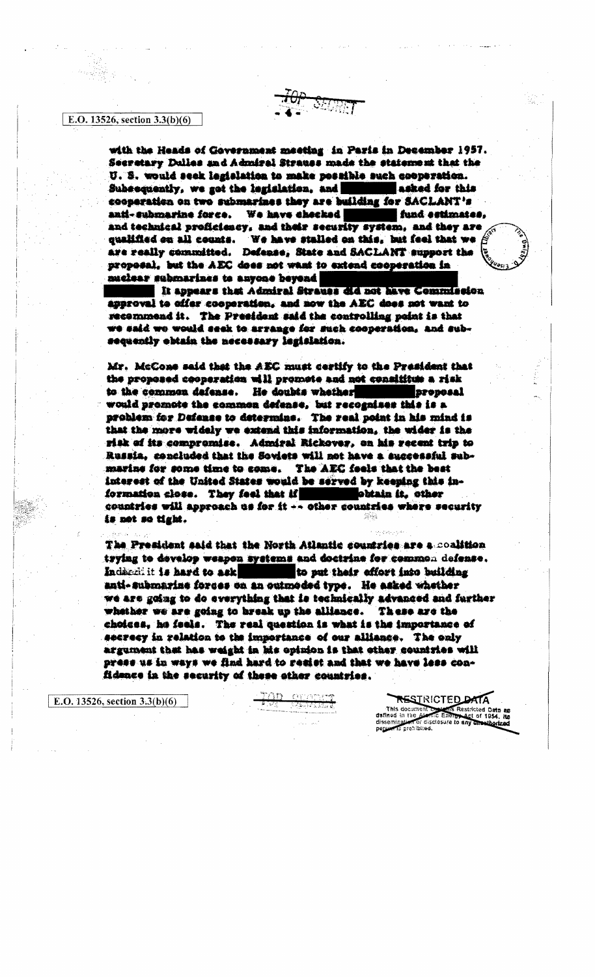## E.O. 13526, section 3.3(b)(6)

with the Heads of Government meeting in Paris in December 1957. Secretary Dulles and Admiral Strauss made the statement that the U. S. would seek legislation to make possible such cooperation. Subsequently, we got the legislation, and asked for this cooperation on two submarines they are building for SACLANT's anti-submarine force. We have checked fund estimates. and technical proficiescy, and their security system, and they are qualified on all counts. We have stalled on this, but feel that we  $\beta$ are really committed. Defense, State and SACLANT support the proposal, but the AEC does not want to extend cooperation in nuclear submarines to anyone beyond

It appears that Admiral Strauss did not have Commission approval to offer cooperation, and now the AEC does not want to recommend it. The President said the controlling point is that we said we would seek to arrange for such cooperation, and subsequently obtain the necessary legislation.

Mr. McCone said that the AEC must certify to the President that the proposed cooperation will promote and not consititue a risk to the common dafense. He doubts whether **Broposal** would promote the common defense, but recognises this is a problem for Defense to determine. The real point in his mind is that the more widely we extend this information, the wider is the risk of its compromise. Admiral Rickover, on his recent trip to Russia. concluded that the Soviets will not have a successful submarine for some time to come. The AEC feels that the best interest of the United States would be served by keeping this information close. They feel that if **the contract of the contract of the** obtain it, other countries will approach us for it -- other countries where security is not so tight.

The President said that the North Atlantic countries are a coalition. trying to develop weapon systems and doctrine for common defense. Indiandi it is hard to ask to put their effort into building anti-submarine forces on an outmoded type. He asked whether we are going to do everything that is technically advanced and further whether we are going to break up the alliance. These are the choices, he feels. The real question is what is the importance of secrecy in relation to the importance of our alliance. The only argument that has weight in his opinion is that other countries will press us in ways we find hard to resist and that we have less confidence in the security of these other countries.

E.O. 13526, section  $3.3(b)(6)$ 

**RESTRICTED DATA** This document of **Status Restricted Date and** datined in the Alen Energy Act of 1954. Hz disclosure to any unwithorized person is prohibited.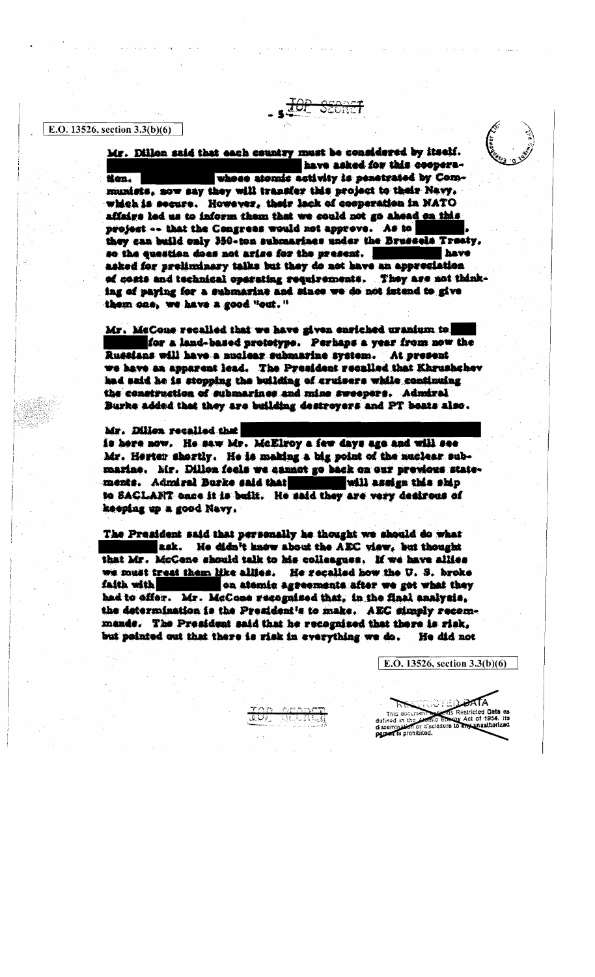E.O. 13526, section  $3.3(b)(6)$ 

Mr. Dillon said that each country must be considered by itself. have asked for this cooperawhose atomic activity is penetrated by Comtion. munists, now say they will transfer this project to their Nevy, which is secure. However, their lack of cooperation in NATO affairs led us to inform them that we could not go ahead on this project -- that the Congress would not approve. As to they can build only 350-ton submarines under the Brussels Treety. so the question does not arise for the present. have asked for preliminary talks but they do not have an appresiation of costs and technical operating requirements. They are not thinking of paying for a submarine and since we do not intend to give them one, we have a good "out."

Mr. McCons recalled that we have given enriched uranium to for a land-based prototype. Perhaps a year from now the Russians will have a nuclear submarine system. At present we have an apparent lead. The President recalled that Khrushchev had said he is stopping the building of cruisers while continuing the construction of submarines and mine sweepers. Admiral Burke added that they are building destroyers and PT boats also.

Mr. Dillon recalled that is here now. He saw Mr. McElroy a few days age and will see Mr. Herter shortly. He is making a big point of the nuclear submarine. Mr. Dillon feels we cannot go hack on our previous statewill assign this ship ments. Admiral Burke said that to SACLANT once it is built. He said they are very desirous of keeping up a good Navy.

The President said that personally he thought we should do what nek. He didn't know about the AEC view, but thought that Mr. McCone should talk to his colleagues. If we have allies we must treat them like allies. He recalled how the U. S. broke faith with on atomic agreements after we got what they had to offer. Mr. McCone recognized that, in the final analysis, the determination is the President's to make. AEC simply recommands. The President said that he recognized that there is risk. but pointed out that there is risk in everything we do. He did not

不好的人的复数

ە ئوڭ ئاق

E.O. 13526, section 3.3(b)(6)

ns Restricted Data ea This docume v Act of 1954. Ha dafined in the mu unauthorized dissemination or disc<br>parten is prohibited. or disclosure to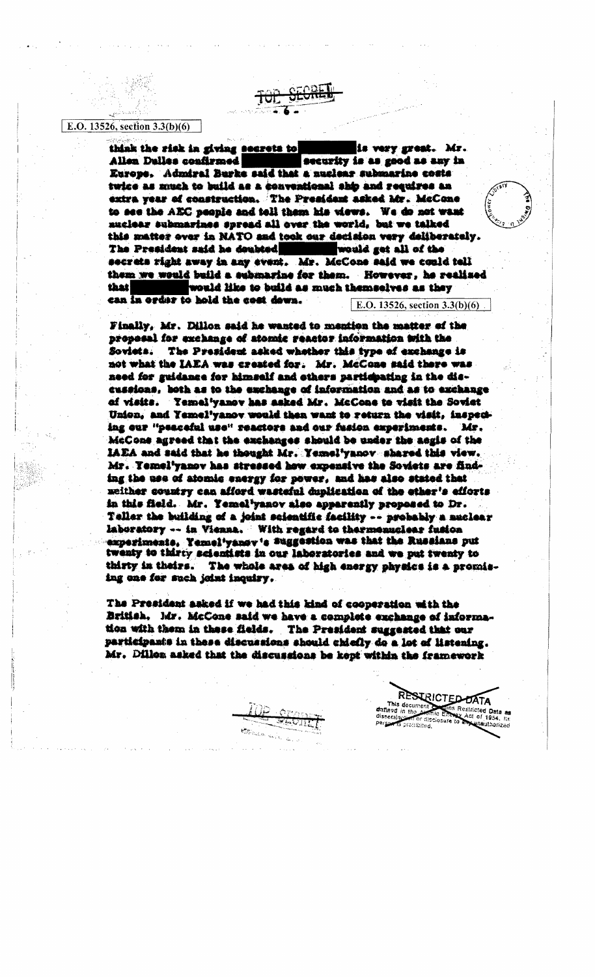## E.O. 13526, section  $3.3(b)(6)$

think the risk in giving secrets to is very great. Mr. security is as good as any in Allen Dulles confirmed Europe, Admiral Burke said that a nuclear submarine costs twice as nuch to build as a conventional ship and requires an extra year of construction. The President asked Mr. McCone to see the AEC people and toll them his views. We do not want nuclear submarines spread all over the world, but we talked this matter over in NATO and took our decision very deliberately. The President said he doubted would get all of the secrets right away in any event. Mr. McCone said we could tell them we would build a submarine for them. However, he realised that would like to build as much themselves as they can in order to hold the cost down. E.O. 13526, section  $3.3(b)(6)$ 

Finally, Mr. Dillon said he wanted to mention the matter of the proposal for exchange of atomic reactor information with the Soviets. The President asked whether this type of exchange is not what the IAEA was created for. Mr. McCone said there was need for guidance for himself and others participating in the discussions, both as to the exchange of information and as to exchange of visits. Temel'yanov has asked Mr. McCone to visit the Soviet Union, and Yemel'yanov would then want to return the visit, inspeciing our "peaceful use" reactors and our fusion experiments. Mr. McCone agreed that the exchanges should be under the aegis of the IAEA and said that he thought Mr. Yemel'yanov shared this view. Mr. Temel'yanov has stressed how expensive the Soviets are finding the use of atomic energy for power, and has also stated that meither country can afford wasteful duplication of the ether's efforts in this field. Mr. Yemel<sup>t</sup>yanov also apparently proposed to Dr. Teller the building of a joint scientific facility -- probably a nuclear laboratory -- in Vienna. With regard to thermonuclear fusion experiments. Yemel'vansy's Suggestion was that the Russians put twenty to thirty scientists in our laboratories and we put twenty to thirty in theirs. The whole area of high energy physics is a promising one for such joint inquiry.

The President asked if we had this kind of cooperation with the British. Mr. McCone said we have a complete exchange of information with them in these fields. The President suggested that our participants in these discussions should chiefly do a lot of listening. Mr. Dillon asked that the discussions be kept within the framework.

RESIRICTED DATA

disclosure n hefidik

ins Restricted Data ar

Act of 1954, Its

This document of

dafined in th